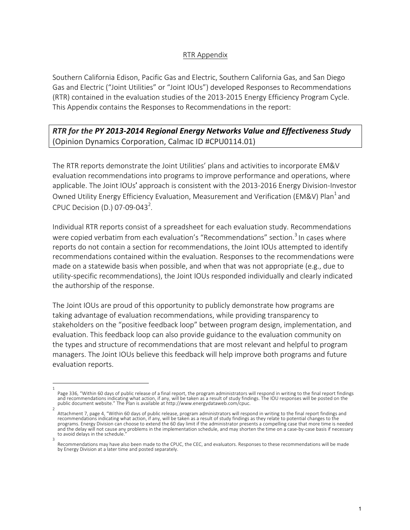## RTR Appendix

Southern California Edison, Pacific Gas and Electric, Southern California Gas, and San Diego Gas and Electric ("Joint Utilities" or "Joint IOUs") developed Responses to Recommendations (RTR) contained in the evaluation studies of the 2013-2015 Energy Efficiency Program Cycle. This Appendix contains the Responses to Recommendations in the report:

**RTR** for the PY 2013-2014 Regional Energy Networks Value and Effectiveness Study (Opinion Dynamics Corporation, Calmac ID #CPU0114.01)

The RTR reports demonstrate the Joint Utilities' plans and activities to incorporate EM&V evaluation recommendations into programs to improve performance and operations, where applicable. The Joint IOUs' approach is consistent with the 2013-2016 Energy Division-Investor Owned Utility Energy Efficiency Evaluation, Measurement and Verification (EM&V) Plan<sup>1</sup> and CPUC Decision (D.) 07-09-043<sup>2</sup>.

Individual RTR reports consist of a spreadsheet for each evaluation study. Recommendations were copied verbatim from each evaluation's "Recommendations" section.<sup>3</sup> In cases where reports do not contain a section for recommendations, the Joint IOUs attempted to identify recommendations contained within the evaluation. Responses to the recommendations were made on a statewide basis when possible, and when that was not appropriate  $(e.g.,$  due to utility-specific recommendations), the Joint IOUs responded individually and clearly indicated the authorship of the response.

The Joint IOUs are proud of this opportunity to publicly demonstrate how programs are taking advantage of evaluation recommendations, while providing transparency to stakeholders on the "positive feedback loop" between program design, implementation, and evaluation. This feedback loop can also provide guidance to the evaluation community on the types and structure of recommendations that are most relevant and helpful to program managers. The Joint IOUs believe this feedback will help improve both programs and future evaluation reports.

<sup>1</sup> Page 336, "Within 60 days of public release of a final report, the program administrators will respond in writing to the final report findings and recommendations indicating what action, if any, will be taken as a result of study findings. The IOU responses will be posted on the public document website." The Plan is available at http://www.energydataweb.com/cpuc.

<sup>2</sup> Attachment 7, page 4, "Within 60 days of public release, program administrators will respond in writing to the final report findings and recommendations indicating what action, if any, will be taken as a result of study findings as they relate to potential changes to the programs. Energy Division can choose to extend the 60 day limit if the administrator presents a compelling case that more time is needed and the delay will not cause any problems in the implementation schedule, and may shorten the time on a case-by-case basis if necessary to avoid delays in the schedule. 3

Recommendations may have also been made to the CPUC, the CEC, and evaluators. Responses to these recommendations will be made by Energy Division at a later time and posted separately.